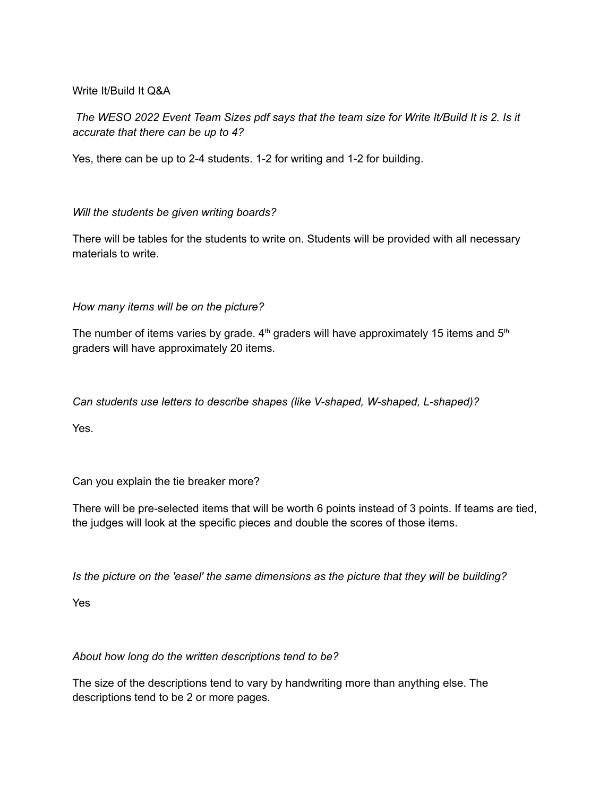## Write It/Build It Q&A

The WESO 2022 Event Team Sizes pdf says that the team size for Write It/Build It is 2. Is it *accurate that there can be up to 4?*

Yes, there can be up to 2-4 students. 1-2 for writing and 1-2 for building.

## *Will the students be given writing boards?*

There will be tables for the students to write on. Students will be provided with all necessary materials to write.

*How many items will be on the picture?*

The number of items varies by grade.  $4<sup>th</sup>$  graders will have approximately 15 items and 5<sup>th</sup> graders will have approximately 20 items.

*Can students use letters to describe shapes (like V-shaped, W-shaped, L-shaped)?*

Yes.

Can you explain the tie breaker more?

There will be pre-selected items that will be worth 6 points instead of 3 points. If teams are tied, the judges will look at the specific pieces and double the scores of those items.

*Is the picture on the 'easel' the same dimensions as the picture that they will be building?*

Yes

## *About how long do the written descriptions tend to be?*

The size of the descriptions tend to vary by handwriting more than anything else. The descriptions tend to be 2 or more pages.